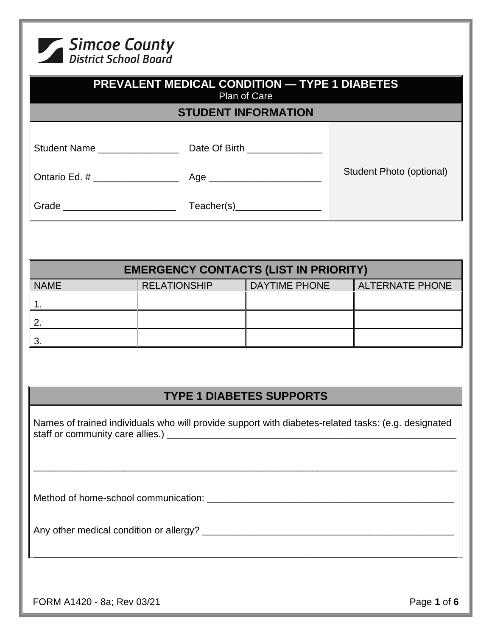

| <b>PREVALENT MEDICAL CONDITION — TYPE 1 DIABETES</b><br>Plan of Care<br><b>STUDENT INFORMATION</b>                                                                                      |                                              |                                 |                          |  |
|-----------------------------------------------------------------------------------------------------------------------------------------------------------------------------------------|----------------------------------------------|---------------------------------|--------------------------|--|
|                                                                                                                                                                                         |                                              |                                 |                          |  |
|                                                                                                                                                                                         |                                              |                                 |                          |  |
|                                                                                                                                                                                         |                                              |                                 | Student Photo (optional) |  |
|                                                                                                                                                                                         |                                              |                                 |                          |  |
|                                                                                                                                                                                         |                                              |                                 |                          |  |
|                                                                                                                                                                                         | <b>EMERGENCY CONTACTS (LIST IN PRIORITY)</b> |                                 |                          |  |
| <b>NAME</b>                                                                                                                                                                             | <b>RELATIONSHIP</b>                          | <b>DAYTIME PHONE</b>            | <b>ALTERNATE PHONE</b>   |  |
| 1.                                                                                                                                                                                      |                                              |                                 |                          |  |
| 2.                                                                                                                                                                                      |                                              |                                 |                          |  |
| 3.                                                                                                                                                                                      |                                              |                                 |                          |  |
|                                                                                                                                                                                         |                                              |                                 |                          |  |
|                                                                                                                                                                                         |                                              | <b>TYPE 1 DIABETES SUPPORTS</b> |                          |  |
| Names of trained individuals who will provide support with diabetes-related tasks: (e.g. designated<br>,我们也不能在这里的时候,我们也不能在这里的时候,我们也不能在这里的时候,我们也不能会在这里的时候,我们也不能会在这里的时候,我们也不能会在这里的时候,我们也不 |                                              |                                 |                          |  |
|                                                                                                                                                                                         |                                              |                                 |                          |  |
|                                                                                                                                                                                         |                                              |                                 |                          |  |
| FORM A1420 - 8a; Rev 03/21                                                                                                                                                              |                                              |                                 | Page 1 of 6              |  |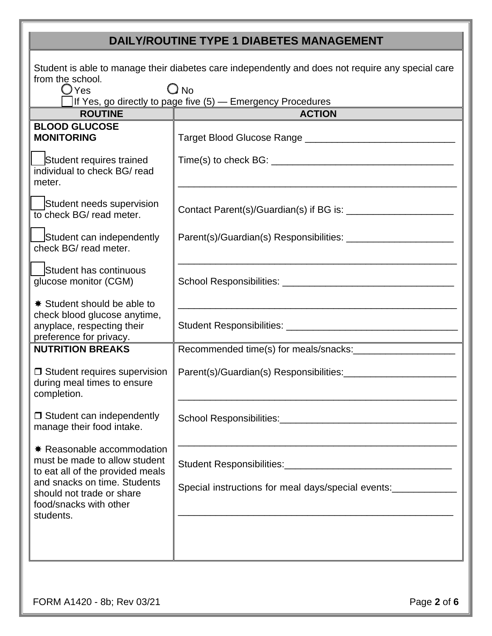## **DAILY/ROUTINE TYPE 1 DIABETES MANAGEMENT**

| Student is able to manage their diabetes care independently and does not require any special care<br>from the school.<br>$\bigcirc$ No<br>$\bigcirc$ Yes<br>If Yes, go directly to page five (5) – Emergency Procedures |                                                                                                                                                                                                                                                                        |  |  |  |
|-------------------------------------------------------------------------------------------------------------------------------------------------------------------------------------------------------------------------|------------------------------------------------------------------------------------------------------------------------------------------------------------------------------------------------------------------------------------------------------------------------|--|--|--|
| <b>ROUTINE</b>                                                                                                                                                                                                          | <b>ACTION</b>                                                                                                                                                                                                                                                          |  |  |  |
| <b>BLOOD GLUCOSE</b><br><b>MONITORING</b>                                                                                                                                                                               |                                                                                                                                                                                                                                                                        |  |  |  |
| Student requires trained<br>individual to check BG/ read<br>meter.                                                                                                                                                      |                                                                                                                                                                                                                                                                        |  |  |  |
| Student needs supervision<br>to check BG/ read meter.                                                                                                                                                                   |                                                                                                                                                                                                                                                                        |  |  |  |
| Student can independently<br>check BG/ read meter.                                                                                                                                                                      |                                                                                                                                                                                                                                                                        |  |  |  |
| Student has continuous<br>glucose monitor (CGM)                                                                                                                                                                         |                                                                                                                                                                                                                                                                        |  |  |  |
| <b><math>*</math> Student should be able to</b><br>check blood glucose anytime,<br>anyplace, respecting their<br>preference for privacy.                                                                                |                                                                                                                                                                                                                                                                        |  |  |  |
| <b>NUTRITION BREAKS</b>                                                                                                                                                                                                 |                                                                                                                                                                                                                                                                        |  |  |  |
| $\Box$ Student requires supervision<br>during meal times to ensure<br>completion.                                                                                                                                       |                                                                                                                                                                                                                                                                        |  |  |  |
| $\Box$ Student can independently<br>manage their food intake.                                                                                                                                                           |                                                                                                                                                                                                                                                                        |  |  |  |
| * Reasonable accommodation<br>must be made to allow student<br>to eat all of the provided meals<br>and snacks on time. Students<br>should not trade or share<br>food/snacks with other                                  | the control of the control of the control of the control of the control of the control of<br>Special instructions for meal days/special events:<br><u> 1989 - Johann John Stoff, deutscher Stoffen und der Stoffen und der Stoffen und der Stoffen und der Stoffen</u> |  |  |  |
| students.                                                                                                                                                                                                               |                                                                                                                                                                                                                                                                        |  |  |  |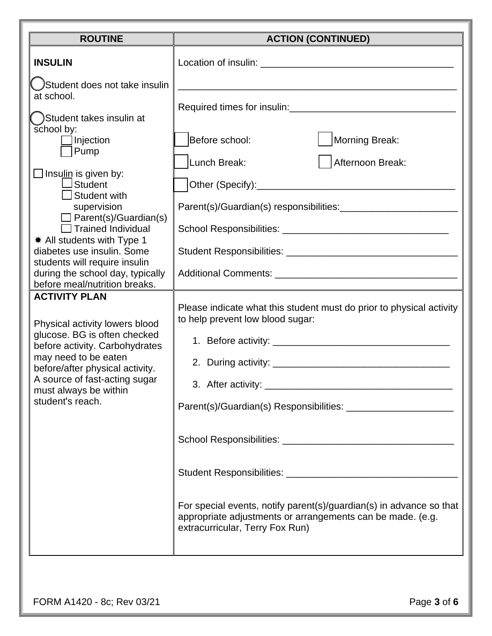| <b>ROUTINE</b>                                                                                                                                                                                                                                                                                                                                                                                                                                                                                                                                                                                                                                                                                               | <b>ACTION (CONTINUED)</b>                                                                                                                                                                                                                                                                                                                                |
|--------------------------------------------------------------------------------------------------------------------------------------------------------------------------------------------------------------------------------------------------------------------------------------------------------------------------------------------------------------------------------------------------------------------------------------------------------------------------------------------------------------------------------------------------------------------------------------------------------------------------------------------------------------------------------------------------------------|----------------------------------------------------------------------------------------------------------------------------------------------------------------------------------------------------------------------------------------------------------------------------------------------------------------------------------------------------------|
| <b>INSULIN</b>                                                                                                                                                                                                                                                                                                                                                                                                                                                                                                                                                                                                                                                                                               |                                                                                                                                                                                                                                                                                                                                                          |
| Student does not take insulin<br>at school.<br>Student takes insulin at<br>school by:<br>Injection<br>Pump<br>$\Box$ Insulin is given by:<br>$\Box$ Student<br>$\Box$ Student with<br>supervision<br>$\Box$ Parent(s)/Guardian(s)<br>$\Box$ Trained Individual<br><b>★ All students with Type 1</b><br>diabetes use insulin. Some<br>students will require insulin<br>during the school day, typically<br>before meal/nutrition breaks.<br><b>ACTIVITY PLAN</b><br>Physical activity lowers blood<br>glucose. BG is often checked<br>before activity. Carbohydrates<br>may need to be eaten<br>before/after physical activity.<br>A source of fast-acting sugar<br>must always be within<br>student's reach. | Morning Break:<br>Before school:<br>Lunch Break:<br>Afternoon Break:<br>Please indicate what this student must do prior to physical activity<br>to help prevent low blood sugar:<br>For special events, notify parent(s)/guardian(s) in advance so that<br>appropriate adjustments or arrangements can be made. (e.g.<br>extracurricular, Terry Fox Run) |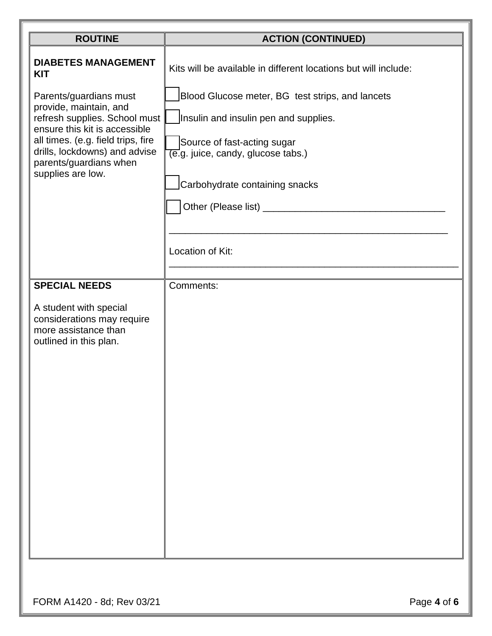| <b>ROUTINE</b>                                                                                                                                                                                                                                                                       | <b>ACTION (CONTINUED)</b>                                                                                                                                                                                                                                                                            |  |
|--------------------------------------------------------------------------------------------------------------------------------------------------------------------------------------------------------------------------------------------------------------------------------------|------------------------------------------------------------------------------------------------------------------------------------------------------------------------------------------------------------------------------------------------------------------------------------------------------|--|
| <b>DIABETES MANAGEMENT</b><br><b>KIT</b><br>Parents/guardians must<br>provide, maintain, and<br>refresh supplies. School must<br>ensure this kit is accessible<br>all times. (e.g. field trips, fire<br>drills, lockdowns) and advise<br>parents/guardians when<br>supplies are low. | Kits will be available in different locations but will include:<br>Blood Glucose meter, BG test strips, and lancets<br>Insulin and insulin pen and supplies.<br>Source of fast-acting sugar<br>$\overline{(e.g.}$ juice, candy, glucose tabs.)<br>Carbohydrate containing snacks<br>Location of Kit: |  |
| <b>SPECIAL NEEDS</b>                                                                                                                                                                                                                                                                 | Comments:                                                                                                                                                                                                                                                                                            |  |
| A student with special<br>considerations may require<br>more assistance than<br>outlined in this plan.                                                                                                                                                                               |                                                                                                                                                                                                                                                                                                      |  |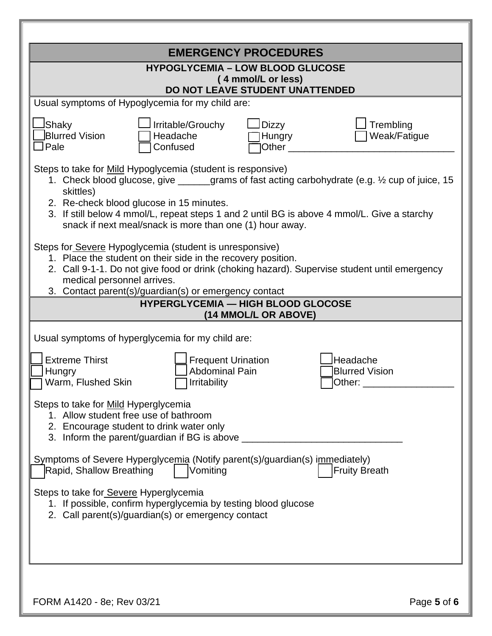|                                                                                                                                                                                                                                                                                                                                                                                   |                                                                    | <b>EMERGENCY PROCEDURES</b>          |                                             |             |  |
|-----------------------------------------------------------------------------------------------------------------------------------------------------------------------------------------------------------------------------------------------------------------------------------------------------------------------------------------------------------------------------------|--------------------------------------------------------------------|--------------------------------------|---------------------------------------------|-------------|--|
| <b>HYPOGLYCEMIA - LOW BLOOD GLUCOSE</b><br>(4 mmol/L or less)<br>DO NOT LEAVE STUDENT UNATTENDED                                                                                                                                                                                                                                                                                  |                                                                    |                                      |                                             |             |  |
| Usual symptoms of Hypoglycemia for my child are:                                                                                                                                                                                                                                                                                                                                  |                                                                    |                                      |                                             |             |  |
| JShaky<br>Blurred Vision<br>$\Box$ Pale                                                                                                                                                                                                                                                                                                                                           | Irritable/Grouchy<br>Headache<br>Confused                          | <b>Dizzy</b><br>Hungry<br>Other $\_$ | Trembling<br>Weak/Fatigue                   |             |  |
| Steps to take for Mild Hypoglycemia (student is responsive)<br>1. Check blood glucose, give _____grams of fast acting carbohydrate (e.g. 1/2 cup of juice, 15<br>skittles)<br>2. Re-check blood glucose in 15 minutes.<br>3. If still below 4 mmol/L, repeat steps 1 and 2 until BG is above 4 mmol/L. Give a starchy<br>snack if next meal/snack is more than one (1) hour away. |                                                                    |                                      |                                             |             |  |
| Steps for Severe Hypoglycemia (student is unresponsive)<br>1. Place the student on their side in the recovery position.<br>2. Call 9-1-1. Do not give food or drink (choking hazard). Supervise student until emergency<br>medical personnel arrives.<br>3. Contact parent(s)/guardian(s) or emergency contact                                                                    | <b>HYPERGLYCEMIA - HIGH BLOOD GLOCOSE</b>                          | (14 MMOL/L OR ABOVE)                 |                                             |             |  |
| Usual symptoms of hyperglycemia for my child are:                                                                                                                                                                                                                                                                                                                                 |                                                                    |                                      |                                             |             |  |
| <b>Extreme Thirst</b><br>Hungry<br>Warm, Flushed Skin                                                                                                                                                                                                                                                                                                                             | <b>Frequent Urination</b><br><b>Abdominal Pain</b><br>Irritability |                                      | Headache<br><b>Blurred Vision</b><br>Other: |             |  |
| Steps to take for Mild Hyperglycemia<br>1. Allow student free use of bathroom<br>2. Encourage student to drink water only<br>3. Inform the parent/guardian if BG is above                                                                                                                                                                                                         |                                                                    |                                      |                                             |             |  |
| Symptoms of Severe Hyperglycemia (Notify parent(s)/guardian(s) immediately)<br>Rapid, Shallow Breathing                                                                                                                                                                                                                                                                           | Vomiting                                                           |                                      | <b>Fruity Breath</b>                        |             |  |
| Steps to take for Severe Hyperglycemia<br>1. If possible, confirm hyperglycemia by testing blood glucose<br>2. Call parent(s)/guardian(s) or emergency contact                                                                                                                                                                                                                    |                                                                    |                                      |                                             |             |  |
| FORM A1420 - 8e; Rev 03/21                                                                                                                                                                                                                                                                                                                                                        |                                                                    |                                      |                                             | Page 5 of 6 |  |